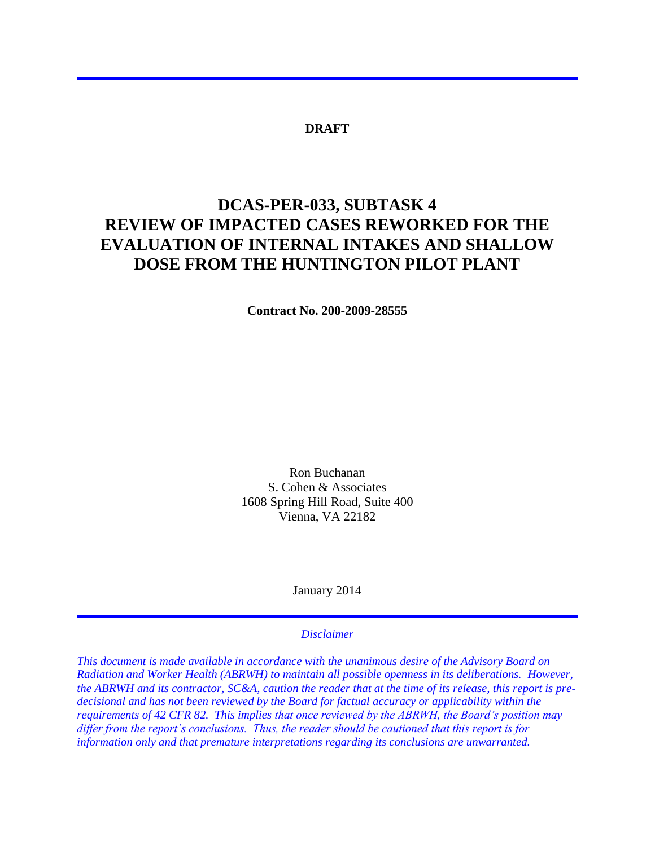## **DRAFT**

# **DCAS-PER-033, SUBTASK 4 REVIEW OF IMPACTED CASES REWORKED FOR THE EVALUATION OF INTERNAL INTAKES AND SHALLOW DOSE FROM THE HUNTINGTON PILOT PLANT**

**Contract No. 200-2009-28555**

Ron Buchanan S. Cohen & Associates 1608 Spring Hill Road, Suite 400 Vienna, VA 22182

January 2014

#### *Disclaimer*

*This document is made available in accordance with the unanimous desire of the Advisory Board on Radiation and Worker Health (ABRWH) to maintain all possible openness in its deliberations. However, the ABRWH and its contractor, SC&A, caution the reader that at the time of its release, this report is predecisional and has not been reviewed by the Board for factual accuracy or applicability within the requirements of 42 CFR 82. This implies that once reviewed by the ABRWH, the Board's position may differ from the report's conclusions. Thus, the reader should be cautioned that this report is for information only and that premature interpretations regarding its conclusions are unwarranted.*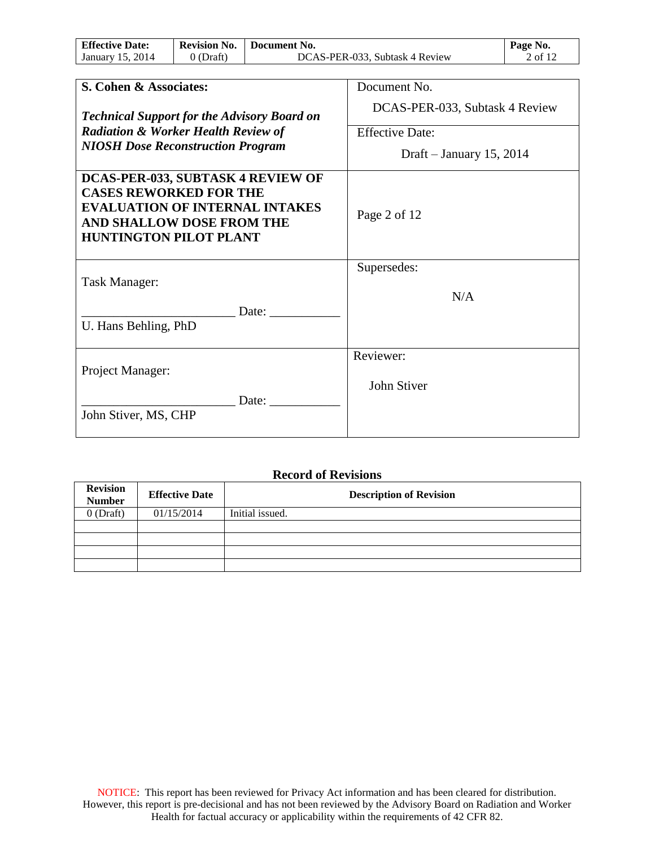| <b>Effective Date:</b> | <b>Revision No.</b> | Document No.                   | Page No.                                      |
|------------------------|---------------------|--------------------------------|-----------------------------------------------|
| 2014<br>January 15.    | Draft`              | DCAS-PER-033, Subtask 4 Review | $\angle$ of 1 <sup><math>\degree</math></sup> |

| S. Cohen & Associates:                                                                                                                                                           | Document No.                   |
|----------------------------------------------------------------------------------------------------------------------------------------------------------------------------------|--------------------------------|
| <b>Technical Support for the Advisory Board on</b>                                                                                                                               | DCAS-PER-033, Subtask 4 Review |
| <b>Radiation &amp; Worker Health Review of</b>                                                                                                                                   | <b>Effective Date:</b>         |
| <b>NIOSH Dose Reconstruction Program</b>                                                                                                                                         | Draft – January 15, 2014       |
| DCAS-PER-033, SUBTASK 4 REVIEW OF<br><b>CASES REWORKED FOR THE</b><br><b>EVALUATION OF INTERNAL INTAKES</b><br><b>AND SHALLOW DOSE FROM THE</b><br><b>HUNTINGTON PILOT PLANT</b> | Page 2 of 12                   |
|                                                                                                                                                                                  | Supersedes:                    |
| Task Manager:                                                                                                                                                                    | N/A                            |
| Date:<br>U. Hans Behling, PhD                                                                                                                                                    |                                |
|                                                                                                                                                                                  | Reviewer:                      |
| Project Manager:                                                                                                                                                                 | John Stiver                    |
| Date:<br>John Stiver, MS, CHP                                                                                                                                                    |                                |

## **Record of Revisions**

| <b>Revision</b><br><b>Number</b> | <b>Effective Date</b> | <b>Description of Revision</b> |
|----------------------------------|-----------------------|--------------------------------|
| $0$ (Draft)                      | 01/15/2014            | Initial issued.                |
|                                  |                       |                                |
|                                  |                       |                                |
|                                  |                       |                                |
|                                  |                       |                                |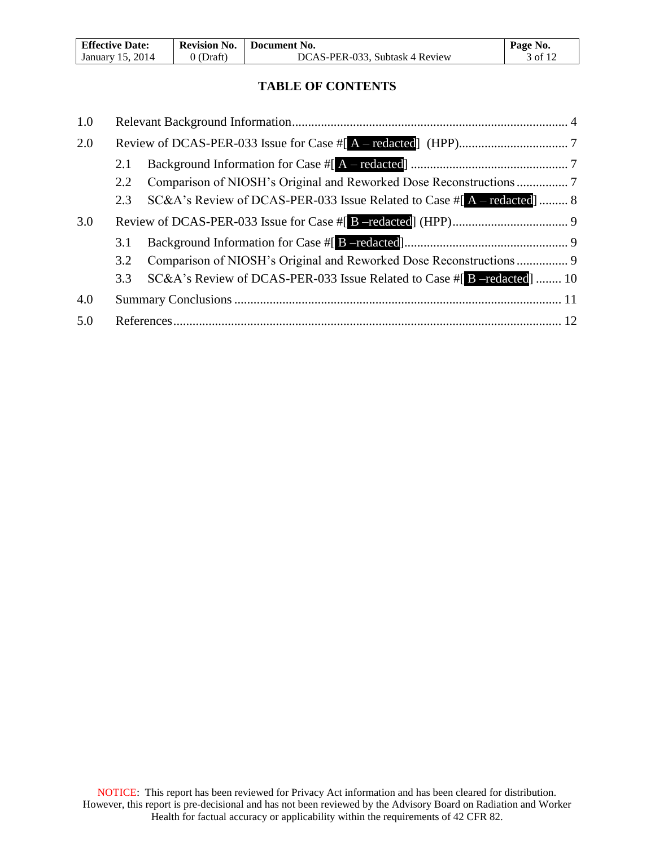| <b>Effective Date:</b> | <b>Revision No.</b> | Document No.                   | Page No. |
|------------------------|---------------------|--------------------------------|----------|
| January 15, 2014       | 0 (Draft)           | DCAS-PER-033, Subtask 4 Review | 3 of 12  |

# **TABLE OF CONTENTS**

| 1.0 |     |                                                                            |  |
|-----|-----|----------------------------------------------------------------------------|--|
| 2.0 |     |                                                                            |  |
|     | 2.1 |                                                                            |  |
|     | 2.2 |                                                                            |  |
|     | 2.3 | SC&A's Review of DCAS-PER-033 Issue Related to Case $\#$ [A – redacted]  8 |  |
| 3.0 |     |                                                                            |  |
|     | 3.1 |                                                                            |  |
|     | 3.2 |                                                                            |  |
|     | 3.3 | SC&A's Review of DCAS-PER-033 Issue Related to Case #[B -redacted]  10     |  |
| 4.0 |     |                                                                            |  |
| 5.0 |     |                                                                            |  |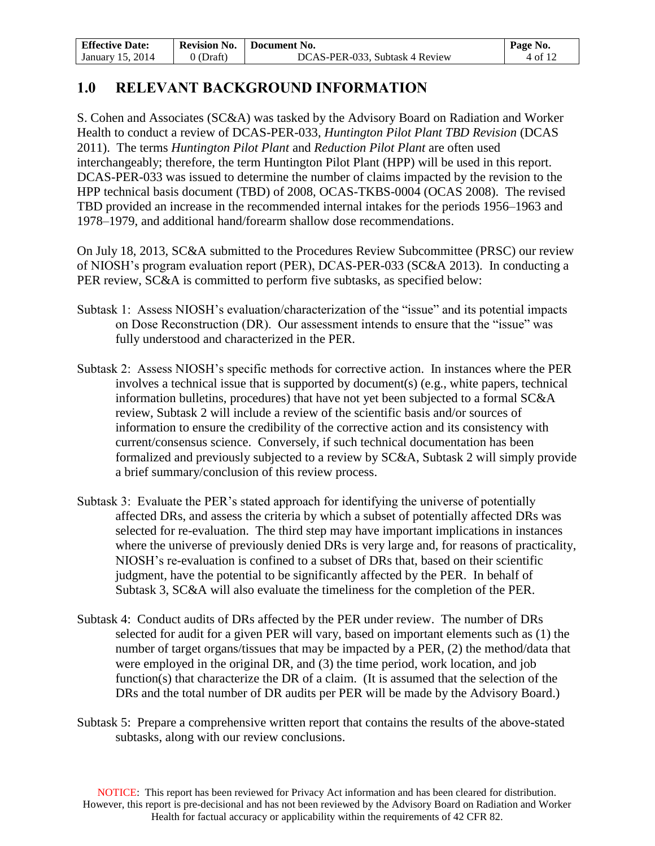| <b>Effective Date:</b> | <b>Revision No.</b> | Document No.                   | Page No.             |
|------------------------|---------------------|--------------------------------|----------------------|
| 2014<br>January 15.    | (Draft)             | DCAS-PER-033, Subtask 4 Review | $-4.0$ f $1^{\circ}$ |

# **1.0 RELEVANT BACKGROUND INFORMATION**

S. Cohen and Associates (SC&A) was tasked by the Advisory Board on Radiation and Worker Health to conduct a review of DCAS-PER-033, *Huntington Pilot Plant TBD Revision* (DCAS 2011). The terms *Huntington Pilot Plant* and *Reduction Pilot Plant* are often used interchangeably; therefore, the term Huntington Pilot Plant (HPP) will be used in this report*.*  DCAS-PER-033 was issued to determine the number of claims impacted by the revision to the HPP technical basis document (TBD) of 2008, OCAS-TKBS-0004 (OCAS 2008). The revised TBD provided an increase in the recommended internal intakes for the periods 1956–1963 and 1978–1979, and additional hand/forearm shallow dose recommendations.

On July 18, 2013, SC&A submitted to the Procedures Review Subcommittee (PRSC) our review of NIOSH's program evaluation report (PER), DCAS-PER-033 (SC&A 2013). In conducting a PER review, SC&A is committed to perform five subtasks, as specified below:

- Subtask 1: Assess NIOSH's evaluation/characterization of the "issue" and its potential impacts on Dose Reconstruction (DR). Our assessment intends to ensure that the "issue" was fully understood and characterized in the PER.
- Subtask 2: Assess NIOSH's specific methods for corrective action. In instances where the PER involves a technical issue that is supported by document(s) (e.g., white papers, technical information bulletins, procedures) that have not yet been subjected to a formal SC&A review, Subtask 2 will include a review of the scientific basis and/or sources of information to ensure the credibility of the corrective action and its consistency with current/consensus science. Conversely, if such technical documentation has been formalized and previously subjected to a review by SC&A, Subtask 2 will simply provide a brief summary/conclusion of this review process.
- Subtask 3: Evaluate the PER's stated approach for identifying the universe of potentially affected DRs, and assess the criteria by which a subset of potentially affected DRs was selected for re-evaluation. The third step may have important implications in instances where the universe of previously denied DRs is very large and, for reasons of practicality, NIOSH's re-evaluation is confined to a subset of DRs that, based on their scientific judgment, have the potential to be significantly affected by the PER. In behalf of Subtask 3, SC&A will also evaluate the timeliness for the completion of the PER.
- Subtask 4: Conduct audits of DRs affected by the PER under review. The number of DRs selected for audit for a given PER will vary, based on important elements such as (1) the number of target organs/tissues that may be impacted by a PER, (2) the method/data that were employed in the original DR, and (3) the time period, work location, and job function(s) that characterize the DR of a claim. (It is assumed that the selection of the DRs and the total number of DR audits per PER will be made by the Advisory Board.)
- Subtask 5: Prepare a comprehensive written report that contains the results of the above-stated subtasks, along with our review conclusions.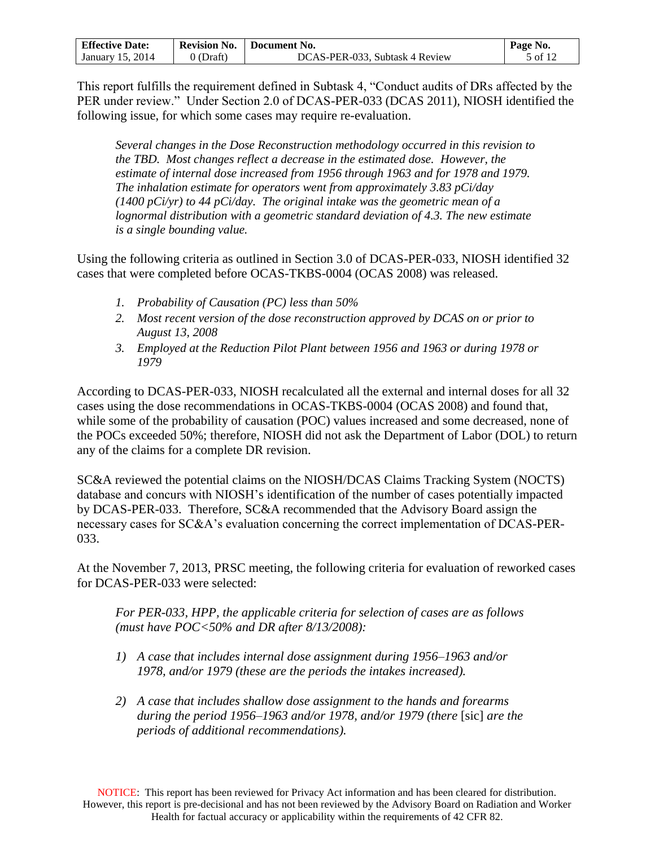| <b>Effective Date:</b> | <b>Revision No.</b> | Document No.                   | Page No. |
|------------------------|---------------------|--------------------------------|----------|
| 2014<br>January 15.    | (Draft)             | DCAS-PER-033. Subtask 4 Review | 5 of 12  |

This report fulfills the requirement defined in Subtask 4, "Conduct audits of DRs affected by the PER under review." Under Section 2.0 of DCAS-PER-033 (DCAS 2011), NIOSH identified the following issue, for which some cases may require re-evaluation.

*Several changes in the Dose Reconstruction methodology occurred in this revision to the TBD. Most changes reflect a decrease in the estimated dose. However, the estimate of internal dose increased from 1956 through 1963 and for 1978 and 1979. The inhalation estimate for operators went from approximately 3.83 pCi/day (1400 pCi/yr) to 44 pCi/day. The original intake was the geometric mean of a*  lognormal distribution with a geometric standard deviation of 4.3. The new estimate *is a single bounding value.*

Using the following criteria as outlined in Section 3.0 of DCAS-PER-033, NIOSH identified 32 cases that were completed before OCAS-TKBS-0004 (OCAS 2008) was released.

- *1. Probability of Causation (PC) less than 50%*
- *2. Most recent version of the dose reconstruction approved by DCAS on or prior to August 13, 2008*
- *3. Employed at the Reduction Pilot Plant between 1956 and 1963 or during 1978 or 1979*

According to DCAS-PER-033, NIOSH recalculated all the external and internal doses for all 32 cases using the dose recommendations in OCAS-TKBS-0004 (OCAS 2008) and found that, while some of the probability of causation (POC) values increased and some decreased, none of the POCs exceeded 50%; therefore, NIOSH did not ask the Department of Labor (DOL) to return any of the claims for a complete DR revision.

SC&A reviewed the potential claims on the NIOSH/DCAS Claims Tracking System (NOCTS) database and concurs with NIOSH's identification of the number of cases potentially impacted by DCAS-PER-033. Therefore, SC&A recommended that the Advisory Board assign the necessary cases for SC&A's evaluation concerning the correct implementation of DCAS-PER-033.

At the November 7, 2013, PRSC meeting, the following criteria for evaluation of reworked cases for DCAS-PER-033 were selected:

*For PER-033, HPP, the applicable criteria for selection of cases are as follows (must have POC<50% and DR after 8/13/2008):* 

- *1) A case that includes internal dose assignment during 1956–1963 and/or 1978, and/or 1979 (these are the periods the intakes increased).*
- *2) A case that includes shallow dose assignment to the hands and forearms during the period 1956–1963 and/or 1978, and/or 1979 (there* [sic] *are the periods of additional recommendations).*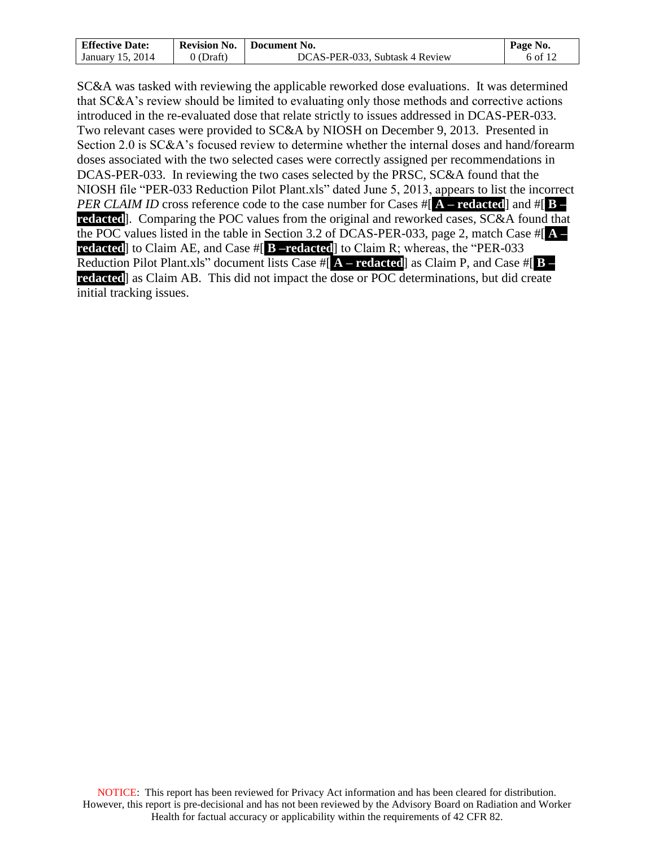| <b>Effective Date:</b> | <b>Revision No.</b> | Document No.                   | Page No. |
|------------------------|---------------------|--------------------------------|----------|
| January 15, 2014       | J (Draft)           | DCAS-PER-033. Subtask 4 Review | 6 of 12  |

SC&A was tasked with reviewing the applicable reworked dose evaluations. It was determined that SC&A's review should be limited to evaluating only those methods and corrective actions introduced in the re-evaluated dose that relate strictly to issues addressed in DCAS-PER-033. Two relevant cases were provided to SC&A by NIOSH on December 9, 2013. Presented in Section 2.0 is SC&A's focused review to determine whether the internal doses and hand/forearm doses associated with the two selected cases were correctly assigned per recommendations in DCAS-PER-033. In reviewing the two cases selected by the PRSC, SC&A found that the NIOSH file "PER-033 Reduction Pilot Plant.xls" dated June 5, 2013, appears to list the incorrect *PER CLAIM ID* cross reference code to the case number for Cases #[ **A – redacted**] and #[ **B – redacted**]. Comparing the POC values from the original and reworked cases, SC&A found that the POC values listed in the table in Section 3.2 of DCAS-PER-033, page 2, match Case #[ **A – redacted**] to Claim AE, and Case #[ **B –redacted**] to Claim R; whereas, the "PER-033 Reduction Pilot Plant.xls" document lists Case #[ **A – redacted**] as Claim P, and Case #[ **B – redacted**] as Claim AB. This did not impact the dose or POC determinations, but did create initial tracking issues.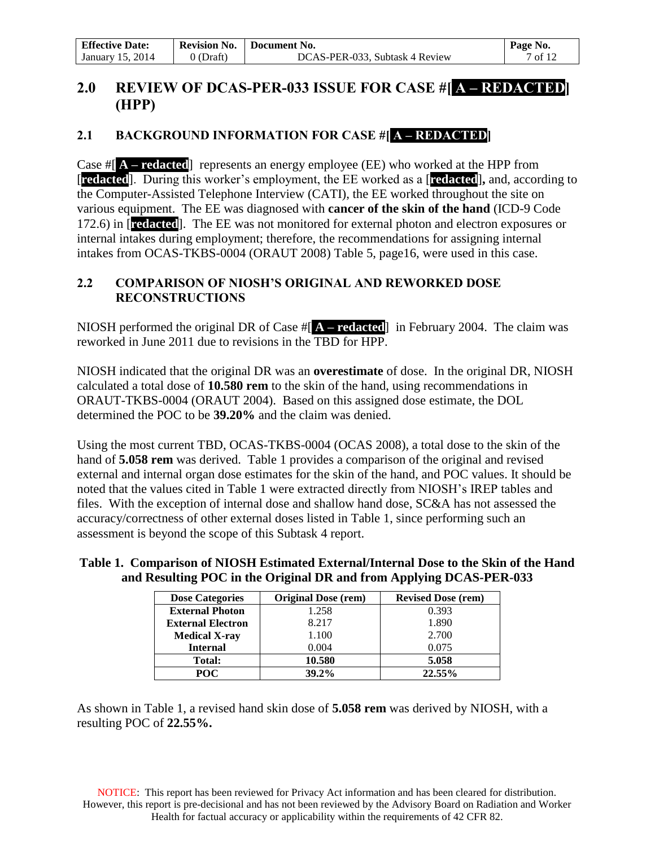| <b>Effective Date:</b> | <b>Revision No.</b> | Document No.                   | Page No. |
|------------------------|---------------------|--------------------------------|----------|
| January 15, 2014       | (Draft)             | DCAS-PER-033, Subtask 4 Review | 7 of 12  |

# **2.0 REVIEW OF DCAS-PER-033 ISSUE FOR CASE #[ A – REDACTED] (HPP)**

# **2.1 BACKGROUND INFORMATION FOR CASE #[ A – REDACTED]**

Case #[ **A – redacted**] represents an energy employee (EE) who worked at the HPP from [**redacted**]. During this worker's employment, the EE worked as a [**redacted**]**,** and, according to the Computer-Assisted Telephone Interview (CATI), the EE worked throughout the site on various equipment. The EE was diagnosed with **cancer of the skin of the hand** (ICD-9 Code 172.6) in [**redacted**]. The EE was not monitored for external photon and electron exposures or internal intakes during employment; therefore, the recommendations for assigning internal intakes from OCAS-TKBS-0004 (ORAUT 2008) Table 5, page16, were used in this case.

# **2.2 COMPARISON OF NIOSH'S ORIGINAL AND REWORKED DOSE RECONSTRUCTIONS**

NIOSH performed the original DR of Case #[ **A – redacted**] in February 2004. The claim was reworked in June 2011 due to revisions in the TBD for HPP.

NIOSH indicated that the original DR was an **overestimate** of dose. In the original DR, NIOSH calculated a total dose of **10.580 rem** to the skin of the hand, using recommendations in ORAUT-TKBS-0004 (ORAUT 2004). Based on this assigned dose estimate, the DOL determined the POC to be **39.20%** and the claim was denied.

Using the most current TBD, OCAS-TKBS-0004 (OCAS 2008), a total dose to the skin of the hand of **5.058 rem** was derived. Table 1 provides a comparison of the original and revised external and internal organ dose estimates for the skin of the hand, and POC values. It should be noted that the values cited in Table 1 were extracted directly from NIOSH's IREP tables and files. With the exception of internal dose and shallow hand dose, SC&A has not assessed the accuracy/correctness of other external doses listed in Table 1, since performing such an assessment is beyond the scope of this Subtask 4 report.

## **Table 1. Comparison of NIOSH Estimated External/Internal Dose to the Skin of the Hand and Resulting POC in the Original DR and from Applying DCAS-PER-033**

| <b>Dose Categories</b>   | <b>Original Dose (rem)</b> | <b>Revised Dose (rem)</b> |
|--------------------------|----------------------------|---------------------------|
| <b>External Photon</b>   | 1.258                      | 0.393                     |
| <b>External Electron</b> | 8.217                      | 1.890                     |
| <b>Medical X-ray</b>     | 1.100                      | 2.700                     |
| <b>Internal</b>          | 0.004                      | 0.075                     |
| Total:                   | 10.580                     | 5.058                     |
| POC                      | $39.2\%$                   | 22.55%                    |

As shown in Table 1, a revised hand skin dose of **5.058 rem** was derived by NIOSH, with a resulting POC of **22.55%.**

NOTICE: This report has been reviewed for Privacy Act information and has been cleared for distribution. However, this report is pre-decisional and has not been reviewed by the Advisory Board on Radiation and Worker Health for factual accuracy or applicability within the requirements of 42 CFR 82.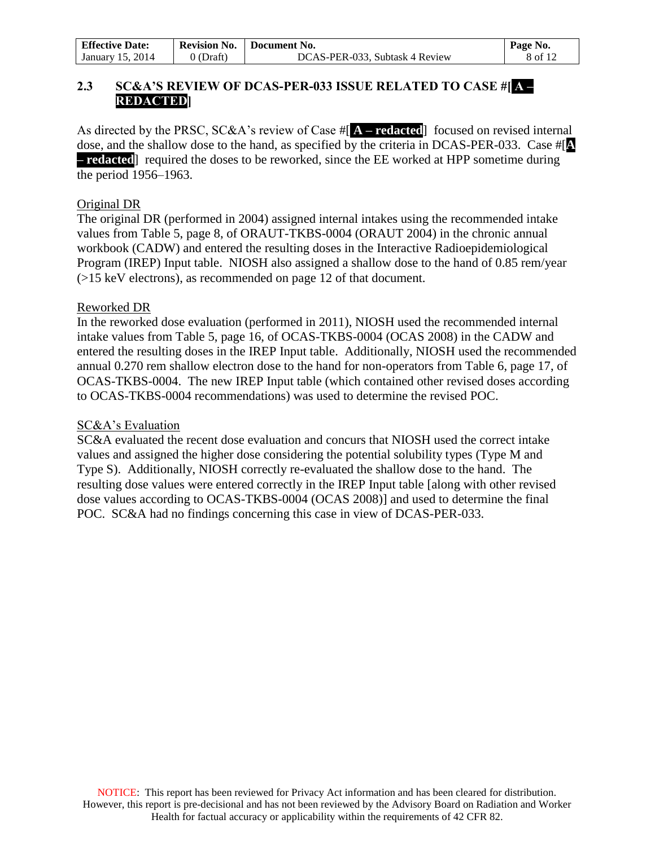| <b>Effective Date:</b> | <b>Revision No.</b> | Document No.                   | Page No. |
|------------------------|---------------------|--------------------------------|----------|
| January 15, 2014       | 0 (Draft)           | DCAS-PER-033. Subtask 4 Review | 8 of 12  |

## **2.3 SC&A'S REVIEW OF DCAS-PER-033 ISSUE RELATED TO CASE #[ A – REDACTED]**

As directed by the PRSC, SC&A's review of Case #[ **A – redacted**] focused on revised internal dose, and the shallow dose to the hand, as specified by the criteria in DCAS-PER-033. Case #[**A – redacted**] required the doses to be reworked, since the EE worked at HPP sometime during the period 1956*–*1963.

#### Original DR

The original DR (performed in 2004) assigned internal intakes using the recommended intake values from Table 5, page 8, of ORAUT-TKBS-0004 (ORAUT 2004) in the chronic annual workbook (CADW) and entered the resulting doses in the Interactive Radioepidemiological Program (IREP) Input table. NIOSH also assigned a shallow dose to the hand of 0.85 rem/year (>15 keV electrons), as recommended on page 12 of that document.

#### Reworked DR

In the reworked dose evaluation (performed in 2011), NIOSH used the recommended internal intake values from Table 5, page 16, of OCAS-TKBS-0004 (OCAS 2008) in the CADW and entered the resulting doses in the IREP Input table. Additionally, NIOSH used the recommended annual 0.270 rem shallow electron dose to the hand for non-operators from Table 6, page 17, of OCAS-TKBS-0004. The new IREP Input table (which contained other revised doses according to OCAS-TKBS-0004 recommendations) was used to determine the revised POC.

#### SC&A's Evaluation

SC&A evaluated the recent dose evaluation and concurs that NIOSH used the correct intake values and assigned the higher dose considering the potential solubility types (Type M and Type S). Additionally, NIOSH correctly re-evaluated the shallow dose to the hand. The resulting dose values were entered correctly in the IREP Input table [along with other revised dose values according to OCAS-TKBS-0004 (OCAS 2008)] and used to determine the final POC. SC&A had no findings concerning this case in view of DCAS-PER-033.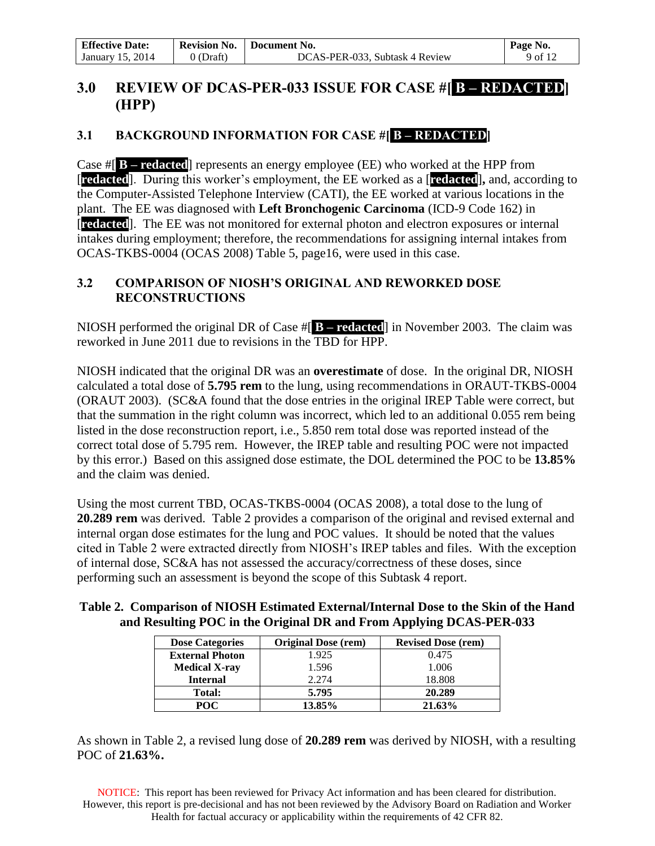| <b>Effective Date:</b> | <b>Revision No.</b> | Document No.                   | Page No. |
|------------------------|---------------------|--------------------------------|----------|
| January 15, 2014       | (Draft)             | DCAS-PER-033, Subtask 4 Review | 9 of 12  |

# **3.0 REVIEW OF DCAS-PER-033 ISSUE FOR CASE #[ B – REDACTED] (HPP)**

# **3.1 BACKGROUND INFORMATION FOR CASE #[ B – REDACTED]**

Case #[ **B – redacted**] represents an energy employee (EE) who worked at the HPP from [**redacted**]. During this worker's employment, the EE worked as a [**redacted**]**,** and, according to the Computer-Assisted Telephone Interview (CATI), the EE worked at various locations in the plant. The EE was diagnosed with **Left Bronchogenic Carcinoma** (ICD-9 Code 162) in [**redacted**]. The EE was not monitored for external photon and electron exposures or internal intakes during employment; therefore, the recommendations for assigning internal intakes from OCAS-TKBS-0004 (OCAS 2008) Table 5, page16, were used in this case.

## **3.2 COMPARISON OF NIOSH'S ORIGINAL AND REWORKED DOSE RECONSTRUCTIONS**

NIOSH performed the original DR of Case #[ **B – redacted**] in November 2003. The claim was reworked in June 2011 due to revisions in the TBD for HPP.

NIOSH indicated that the original DR was an **overestimate** of dose. In the original DR, NIOSH calculated a total dose of **5.795 rem** to the lung, using recommendations in ORAUT-TKBS-0004 (ORAUT 2003). (SC&A found that the dose entries in the original IREP Table were correct, but that the summation in the right column was incorrect, which led to an additional 0.055 rem being listed in the dose reconstruction report, i.e., 5.850 rem total dose was reported instead of the correct total dose of 5.795 rem. However, the IREP table and resulting POC were not impacted by this error.) Based on this assigned dose estimate, the DOL determined the POC to be **13.85%** and the claim was denied.

Using the most current TBD, OCAS-TKBS-0004 (OCAS 2008), a total dose to the lung of **20.289 rem** was derived. Table 2 provides a comparison of the original and revised external and internal organ dose estimates for the lung and POC values. It should be noted that the values cited in Table 2 were extracted directly from NIOSH's IREP tables and files. With the exception of internal dose, SC&A has not assessed the accuracy/correctness of these doses, since performing such an assessment is beyond the scope of this Subtask 4 report.

## **Table 2. Comparison of NIOSH Estimated External/Internal Dose to the Skin of the Hand and Resulting POC in the Original DR and From Applying DCAS-PER-033**

| <b>Dose Categories</b> | <b>Original Dose (rem)</b> | <b>Revised Dose (rem)</b> |
|------------------------|----------------------------|---------------------------|
| <b>External Photon</b> | 1.925                      | 0.475                     |
| <b>Medical X-ray</b>   | 1.596                      | 1.006                     |
| <b>Internal</b>        | 2.274                      | 18.808                    |
| <b>Total:</b>          | 5.795                      | 20.289                    |
| POC.                   | 13.85%                     | 21.63%                    |

As shown in Table 2, a revised lung dose of **20.289 rem** was derived by NIOSH, with a resulting POC of **21.63%.**

NOTICE: This report has been reviewed for Privacy Act information and has been cleared for distribution. However, this report is pre-decisional and has not been reviewed by the Advisory Board on Radiation and Worker Health for factual accuracy or applicability within the requirements of 42 CFR 82.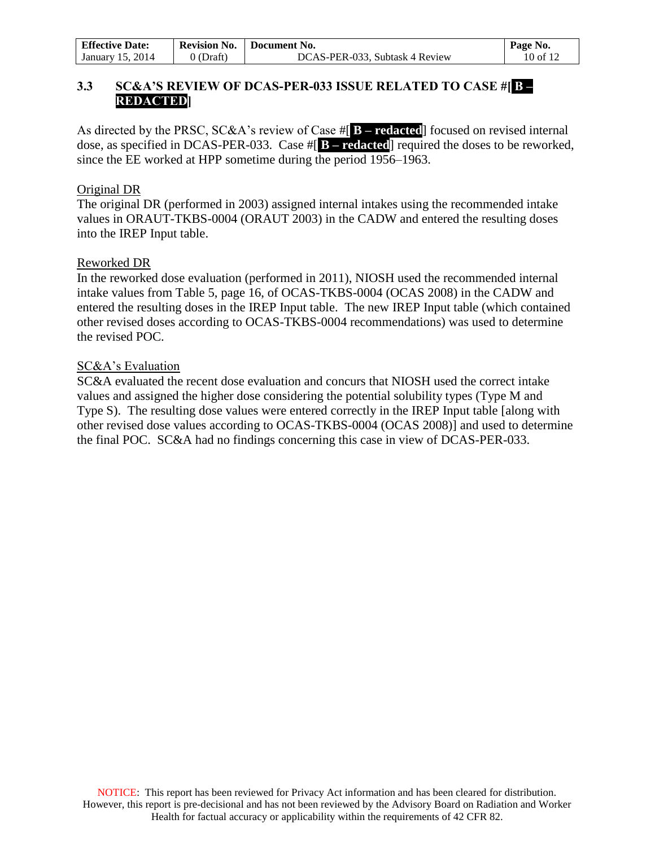| <b>Effective Date:</b> | <b>Revision No.</b> | Document No.                   | Page No.                                  |
|------------------------|---------------------|--------------------------------|-------------------------------------------|
| 2014<br>January 15,    | 0 (Draft)           | DCAS-PER-033, Subtask 4 Review | $10$ of 1 <sup><math>\degree</math></sup> |

## **3.3 SC&A'S REVIEW OF DCAS-PER-033 ISSUE RELATED TO CASE #[ B – REDACTED]**

As directed by the PRSC, SC&A's review of Case #[ **B – redacted**] focused on revised internal dose, as specified in DCAS-PER-033. Case #[ **B – redacted**] required the doses to be reworked, since the EE worked at HPP sometime during the period 1956*–*1963.

#### Original DR

The original DR (performed in 2003) assigned internal intakes using the recommended intake values in ORAUT-TKBS-0004 (ORAUT 2003) in the CADW and entered the resulting doses into the IREP Input table.

#### Reworked DR

In the reworked dose evaluation (performed in 2011), NIOSH used the recommended internal intake values from Table 5, page 16, of OCAS-TKBS-0004 (OCAS 2008) in the CADW and entered the resulting doses in the IREP Input table. The new IREP Input table (which contained other revised doses according to OCAS-TKBS-0004 recommendations) was used to determine the revised POC.

#### SC&A's Evaluation

SC&A evaluated the recent dose evaluation and concurs that NIOSH used the correct intake values and assigned the higher dose considering the potential solubility types (Type M and Type S). The resulting dose values were entered correctly in the IREP Input table [along with other revised dose values according to OCAS-TKBS-0004 (OCAS 2008)] and used to determine the final POC. SC&A had no findings concerning this case in view of DCAS-PER-033.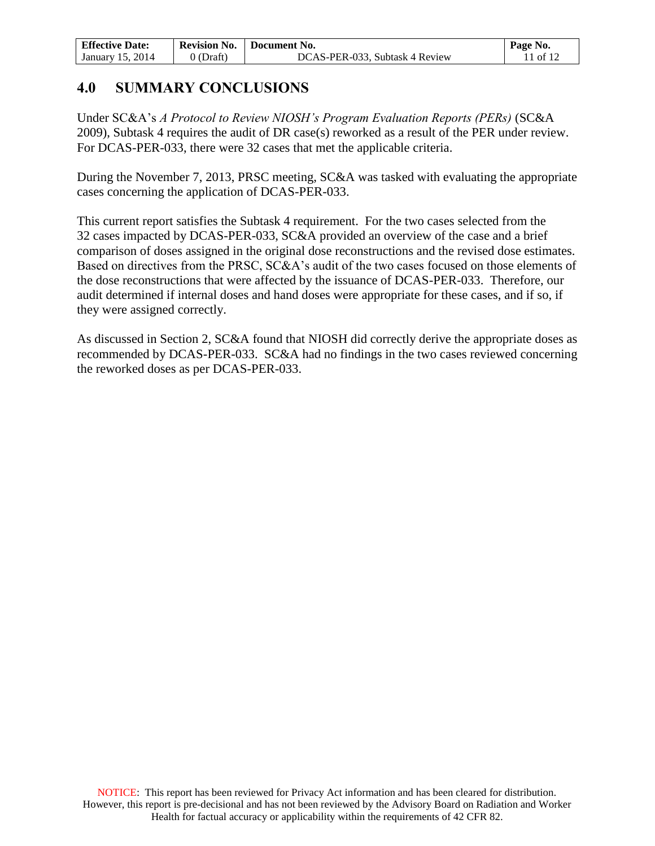| <b>Effective Date:</b> | <b>Revision No.</b> | Document No.                   | Page No.         |
|------------------------|---------------------|--------------------------------|------------------|
| 2014<br>January 15     | (Draft              | DCAS-PER-033, Subtask 4 Review | 10 <sup>17</sup> |

# **4.0 SUMMARY CONCLUSIONS**

Under SC&A's *A Protocol to Review NIOSH's Program Evaluation Reports (PERs)* (SC&A 2009), Subtask 4 requires the audit of DR case(s) reworked as a result of the PER under review. For DCAS-PER-033, there were 32 cases that met the applicable criteria.

During the November 7, 2013, PRSC meeting, SC&A was tasked with evaluating the appropriate cases concerning the application of DCAS-PER-033.

This current report satisfies the Subtask 4 requirement. For the two cases selected from the 32 cases impacted by DCAS-PER-033, SC&A provided an overview of the case and a brief comparison of doses assigned in the original dose reconstructions and the revised dose estimates. Based on directives from the PRSC, SC&A's audit of the two cases focused on those elements of the dose reconstructions that were affected by the issuance of DCAS-PER-033. Therefore, our audit determined if internal doses and hand doses were appropriate for these cases, and if so, if they were assigned correctly.

As discussed in Section 2, SC&A found that NIOSH did correctly derive the appropriate doses as recommended by DCAS-PER-033. SC&A had no findings in the two cases reviewed concerning the reworked doses as per DCAS-PER-033.